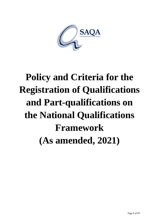

# **Policy and Criteria for the Registration of Qualifications and Part-qualifications on the National Qualifications Framework (As amended, 2021)**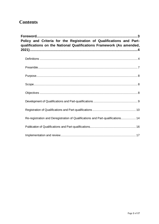# **Contents**

| Policy and Criteria for the Registration of Qualifications and Part-<br>qualifications on the National Qualifications Framework (As amended, |                                                                                 |  |
|----------------------------------------------------------------------------------------------------------------------------------------------|---------------------------------------------------------------------------------|--|
|                                                                                                                                              |                                                                                 |  |
|                                                                                                                                              |                                                                                 |  |
|                                                                                                                                              |                                                                                 |  |
|                                                                                                                                              |                                                                                 |  |
|                                                                                                                                              |                                                                                 |  |
|                                                                                                                                              |                                                                                 |  |
|                                                                                                                                              |                                                                                 |  |
|                                                                                                                                              | Re-registration and Deregistration of Qualifications and Part-qualifications 14 |  |
|                                                                                                                                              |                                                                                 |  |
|                                                                                                                                              |                                                                                 |  |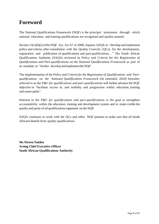# <span id="page-2-0"></span>**Foreword**

The National Qualifications Framework (NQF) is the principal instrument through which national education and training qualifications are recognised and quality-assured.

Section  $13(1)(h)(i)$  of the NQF Act, Act 67 of 2008, requires SAQA to "develop and implement policy and criteria, after consultation with the Quality Councils (QCs), for the development, registration and publication of qualifications and part-qualifications…" The South African Qualifications Authority (SAQA) reviewed its *Policy and Criteria for the Registration of Qualifications and Part-qualifications on the National Qualifications Framework* as part of its mandate to "further develop and implementtheNQF.

The implementation of the *Policy and Criteria for the Registration of Qualifications and Partqualifications on the National Qualifications Framework (As amended, 2020)* hereafter referred to as the *P&C for qualifications and part-qualifications* will further advance the NQF objective to "facilitate access to, and mobility and progression within education, training and career paths".

Inherent to the *P&C for qualifications and part-qualifications* is the goal to strengthen accountability within the education, training and development system and to make visible the quality and parity of all qualificationsregistered on the NQF.

SAQA continues to work with the QCs and other NQF partners to make sure that all South Africans benefit from quality qualifications.

**Ms Nireen Naidoo Acting Chief Executive Officer South African Qualifications Authority**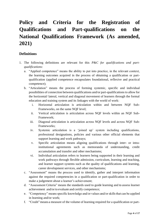# <span id="page-3-0"></span>**Policy and Criteria for the Registration of Qualifications and Part-qualifications on the National Qualifications Framework (As amended, 2021)**

# <span id="page-3-1"></span>**Definitions**

- 1. The following definitions are relevant for this *P&C for qualifications and partqualifications*:
	- a. "Applied competence" means the ability to put into practice, in the relevant context, the learning outcomes acquired in the process of obtaining a qualification or partqualification (applied competence encapsulates foundational, reflexive and practical competence);
	- b. "Articulation" means the process of forming systemic, specific and individual possibilities of connection between qualifications and/or part-qualifications to allow for the horizontal/ lateral, vertical and diagonal movement of learners through the formal education and training system and its linkages with the world of work:
		- i. Horizontal articulation is articulation within and between NQF Sub-Frameworks, on the same NQF level;
		- ii. Vertical articulation is articulation across NQF levels within an NQF Sub-Framework;
		- iii. Diagonal articulation is articulation across NQF levels and across NQF Sub-Frameworks;
		- iv. Systemic articulation is a 'joined up' system including qualifications, professional designations, policies and various other official elements that support learning and work pathways;
		- v. Specific articulation means aligning qualifications through inter- or intrainstitutional agreements such as memoranda of understanding, credit accumulation and transfer and other mechanisms;
		- vi. Individual articulation refers to learners being supported in their learning and work pathways through flexible admission, curriculum, learning and teaching, and learner support systems such as the quality of qualifications and learning, career development services, and other mechanisms;
	- c. "Assessment" means the process used to identify, gather and interpret information against the required competencies in a qualification or part-qualification in order to make a judgement about a learner's achievement;
	- d. "Assessment Criteria" means the standards used to guide learning and to assess learner achievement and/or to evaluate and certify competence;
	- e. "Competency" means specific knowledge and/or values and/or skills that can be applied in learning and/or work;
	- f. "Credit"means a measure of the volume of learning required for a qualification or part-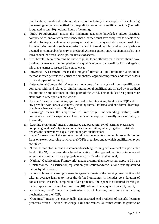qualification, quantified as the number of notional study hours required for achieving the learning outcomes specified for the qualification or part-qualification. One (1) credit is equated to ten (10) notional hours of learning;

- g. "Entry Requirements" means the minimum academic knowledge and/or practical competencies, and/or work experience that a learner must havecompleted to be able to be admitted for a qualification and/or part-qualification. This may include recognition of other forms of prior learning such as non-formal and informal learning and work experience deemed as comparable for entry.In the South African context, entry requirements also take into account the broad socio-political issue of access;
- h. "ExitLevelOutcomes"means the knowledge, skills and attitudes that a learner should have obtained or mastered on completion of a qualification or part-qualification and against which the learner is assessed for competence;
- i. "Integrated Assessment" means the range of formative and summative assessment methods which permits the learner to demonstrate applied competence and which assess different types of learning;
- j. "International Comparability" means an outcome of an analysis of how a qualification compares with- and relates to- similar international qualifications offered by accredited institutions or organisations in other parts of the world. This includes best practices or standards in other parts of the world;
- k. "Learner" means anyone, at any age, engaged in learning at any level of the NQF and in any provider, work or social context, including formal, informal and non-formal learning; used inter-changeably with "Student";
- l. "Learning" means the acquisition of knowledge, understanding, values, skill, competence and/or experience. Learning can be acquired formally, non-formally, or informally;
- m. "Learning programme" means a structured and purposeful set of learning experiences comprising modules/ subjects and other learning activities, which, together contribute towards the achievement a qualification or part-qualification;
- n. "Level" means one of the series of learning achievements arranged in ascending order from one to ten according to which the NQF is organised and to which qualification types are linked;
- o. "Level Descriptor" means a statement describing learning achievement at a particular level of the NQF that provides a broad indication of the types of learning outcomes and assessment criteria that are appropriate to a qualification at that level;
- p. "National Qualifications Framework" means a comprehensive system approved by the Minister for the classification, registration, publication and articulation of quality-assured nationalqualifications;
- q. "Notional hours of learning" means the agreed estimate of the learning time that it would take an average learner to meet the defined outcomes, it includes consideration of contact time, research, completion of assignments, time spent in structured learning in the workplace, individual learning. Ten (10) notional hours equate to one (1) credit;
- r. "Organising Field" means a particular area of learning used as an organising mechanism for the NQF;
- s. "Outcomes" means the contextually demonstrated end-products of specific learning processes, which include knowledge, skills and values. Outcomes could be generic or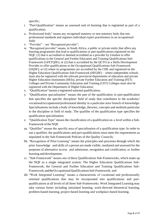specific;

- t. "Part-Qualification" means an assessed unit of learning that is registered as part of a qualification;
- u. Professional body" means any recognised statutory or non-statutory body that sets professional standards and registers individual expert practitioners in an occupational field;
- v. "Provider" see "Recognised provider";
- w. "Recognised provider" means, in South Africa, a public or private entity that offers any learning programmes that lead to qualifications or part-qualifications registered on the NQF, (1) that is accredited or deemed accredited as a provider by Umalusi to offer qualifications in the General and Further Education and Training Qualifications Sub-Framework (GFETQSF); or (2) that is accredited by the QCTO as a Skills Development Provider to offer qualifications in the Occupational Qualifications Sub-Framework (OQSF); or (3) where its programmes are accredited by the CHE and registered on the Higher Education Qualifications Sub-Framework (HEQSF) – where independent schools must also be registered with the relevant provincial departments of education and private Higher Education Institutions (HEIs), private Further Education and Training (FET) Colleges and Private Community Education and Training (CET) Colleges must also be registered with the Department of Higher Education;
- x. "Qualification"means a registered national qualification;
- y. "Qualification specialisation" means the part of the qualification or part-qualification that specifies the specific discipline/ field of study that contributes to the academic/ vocational/occupational/professional identity in a particular area/ branch of knowledge. Specialisations include a body of knowledge, theories, concepts and methods particular to the discipline or field of study. The qualifier of the qualification type specifies the qualification specialisation;
- z. "Qualification Type" means the classification of a qualification on a level within a Sub-Framework of the NQF,
- aa. "Qualifier" means the specific area of specialisation of a qualification type. In order to use a qualifier, the qualifications and part-qualifications must meet the requirements as stipulated in the Sub-Framework Policies of the Quality Councils;
- bb. "Recognition of Prior Learning" means the principles and processes through which the prior knowledge and skills of a person are made visible, mediated and assessed for the purposes of alternative access and admission, recognition and certification, or further learning and development;
- cc. "Sub-Framework" means one of three Qualifications Sub-Frameworks, which make up the NQF as a single integrated system: The Higher Education Qualifications Sub-Framework; the General and Further Education and Training Qualifications Sub-Framework; and the Occupational Qualifications Sub-Framework; and
- dd. "Work Integrated Learning" means a characteristic of vocational and professionally oriented qualifications that may be incorporated into qualifications and partqualifications at all levels of all three Sub-Frameworks. Work Integrated Learning may take various forms including simulated learning, work-directed theoretical learning, problem-based learning, project-based learning and workplace-based learning.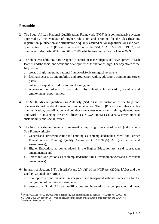# <span id="page-6-0"></span>**Preamble**

- 2. The South African National Qualifications Framework (NQF) is a comprehensive system approved by the Minister of Higher Education and Training for the classification, registration, publication and articulation of quality-assured national qualifications and partqualifications. The NQF was established under the SAQA Act, Act 58 of 1995<sup>1</sup>, and continues under the NQF Act, Act 67 of 2008, which came into effect on 1 June 2009.
- 3. The objectives ofthe NQF are designed to contribute to the full personal development of each learner and the social and economic development of the nation at large. The objectives of the NQF are to:
	- a. create a single integrated national framework for learning achievements;
	- b. facilitate access to, and mobility and progression within, education, training and career paths;
	- c. enhance the quality of education and training; and
	- d. accelerate the redress of past unfair discrimination in education, training and employment opportunities.
- 4. The South African Qualifications Authority (SAQA) is the custodian of the NQF and oversees its further development and implementation. The NQF is a system that enables communication, co-ordination, and collaboration across education, training, development and work. In advancing the NQF objectives, SAQA embraces diversity, environmental sustainability and social justice.
- 5. The NQF is a single integrated framework, comprising three co-ordinated Qualifications Sub-Frameworks,for:
	- a. General andFurtherEducation andTraining, as contemplated in the General and Further Education and Training Quality Assurance (GENFETQA) Act (and subsequent amendments);
	- b. Higher Education, as contemplated in the Higher Education Act (and subsequent amendments); and
	- c. Trades and Occupations, as contemplated in the Skills Development Act (and subsequent amendments).
- 6. In terms of Sections  $5(3)$ ,  $13(1)(h)(i)$  and  $27(h)(i)$  of the NQF Act (2008), SAQA and the Quality Councils (QCs)must:
	- a. develop, foster and maintain an integrated and transparent national framework for the recognition of learning achievements;
	- b. ensure that South African qualifications are internationally comparable and meet

 $1$  The SAQA Act, Act 58 of 1995 was repealed in 2008 and replaced by the NQF Act, Act 67 of 2008. The NQF Act (2008), in section 36, makes allowance for transitional arrangements between theSAQA Act (1995) and the NQFAct (2008).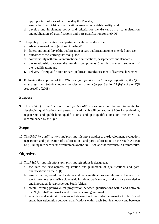appropriate criteria as determined by the Minister;

- c. ensure that South African qualifications are of an acceptable quality; and
- d. develop and implement policy and criteria for the development, registration and publication of qualifications and part-qualifications on theNQF.
- 7. The quality of qualifications and part-qualificationsresidesin the:
	- a. advancement of the objectives of the NQF;
	- b. fitness and suitability of the qualification or part-qualification for its intended purpose;
	- c. outcomes of the learning that took place;
	- d. comparability with similar international qualifications, best practices and standards;
	- e. the relationship between the learning components (modules, courses, subjects) of the qualification; and
	- f. delivery ofthequalification or part-qualification and assessment oflearner achievement.
- 8. Following the approval of this *P&C for qualifications and part-qualifications*, the QCs must align their Sub-Framework policies and criteria (as per Section 27 (h)(i) of the NQF Act, Act 67 of 2008).

### <span id="page-7-0"></span>**Purpose**

9. This *P&C for qualifications and part-qualifications* sets out the requirements for developing qualifications and part-qualifications. It will be used by SAQA for evaluating, registering and publishing qualifications and part-qualifications on the NQF as recommended by the QCs.

#### <span id="page-7-1"></span>**Scope**

10. This *P&C for qualifications and part-qualifications* appliesto the development, evaluation, registration and publication of qualifications and part-qualifications on the South African NQF, taking into account the requirements of the NQF Act and the relevant Sub-Frameworks.

# <span id="page-7-2"></span>**Objectives**

- 11. This *P&C for qualifications and part-qualifications* is designed to:
	- a. facilitate the development, registration and publication of qualifications and partqualifications on the NQF;
	- b. ensure that registered qualifications and part-qualifications are relevant to the world of work, promote responsible citizenship in a democratic society, and advance knowledge and innovation for a prosperous South Africa;
	- c. create learning pathways for progression between qualifications within and between the NQF Sub-Frameworks, and between learning and work;
	- d. establish and maintain coherence between the three Sub-Frameworks to clarify and strengthen articulation between qualifications within each Sub-Framework and between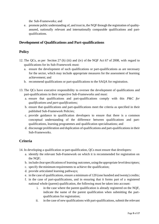the Sub-Frameworks; and

e. promote public understanding of, and trust in, the NQF through the registration of qualityassured, nationally relevant and internationally comparable qualifications and partqualifications.

# <span id="page-8-0"></span>**Development of Qualifications and Part-qualifications**

# **Policy**

- 12. The QCs, as per Section 27 (h) (iii) and (iv) of the NQF Act 67 of 2008, with regard to qualifications for its Sub-Framework must:
	- a. ensure the development of such qualifications or part-qualifications as are necessary for the sector, which may include appropriate measures for the assessment of learning achievement; and
	- b. recommend qualifications or part-qualifications to the SAQA for registration.
- 13. The QCs have executive responsibility to oversee the development of qualifications and part-qualifications in their respective Sub-Frameworks and must:
	- a. ensure that qualifications and part-qualifications comply with this *P&C for qualifications and part-qualifications;*
	- b. ensure that qualifications and part-qualifications meet the criteria as specified in their published Sub-Framework Policies;
	- c. provide guidance to qualification developers to ensure that there is a common conceptual understanding of the difference between qualifications and partqualifications, learning programmes and qualification specialisations; and
	- d. discourage proliferation and duplication of qualifications and part-qualifications in their Sub-Frameworks.

# **Criteria**

- 14. In developing a qualification or part-qualification, QCs must ensure that developers:
	- a. identify the relevant Sub-Framework on which it is recommended for registration on the NQF;
	- b. include clearspecifications of learning outcomes,using the appropriate leveldescriptors;
	- c. specify the minimum requirements to achieve the qualification;
	- d. provide articulated learning pathways;
	- e. in the case of qualifications, ensure a minimum of 120 (one hundred and twenty) credits;
	- f. in the case of part-qualifications, and in ensuring that it forms part of a registered national whole (parent) qualification, the following must be taken into account:
		- i. in the case where the parent qualification is already registered on the NQF, indicate the name of the parent qualification when submitting the partqualification for registration;
		- ii. in the case of new qualifications with part-qualifications, submit the relevant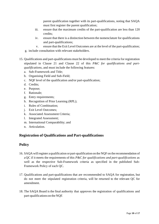parent qualification together with its part-qualifications, noting that SAQA must first register the parent qualification;

- iii. ensure that the maximum credits of the part-qualification are less than 120 credits;
- iv. ensure that there is a distinction between the nomenclature for qualifications and part-qualifications;
- v. ensure that the Exit Level Outcomes are at the level of the part-qualification;
- g. include consultation with relevant stakeholders.
- 15. Qualifications and part-qualifications must be developed to meet the criteria for registration stipulated in Clause 21 and Clause 22 of this *P&C for qualifications and partqualifications,* and must include the following features:
	- a. Sub-Framework and Title;
	- b. Organising Field and Sub-Field;
	- c. NQF level of the qualification and/or part-qualification;
	- d. Credits;
	- e. Purpose;
	- f. Rationale;
	- g. Entry requirements;
	- h. Recognition of Prior Learning (RPL);
	- i. Rules of Combination;
	- j. Exit Level Outcomes;
	- k. Associated Assessment Criteria;
	- l. Integrated Assessment;
	- m. International Comparability; and
	- n. Articulation.

# <span id="page-9-0"></span>**Registration of Qualifications and Part-qualifications**

#### **Policy**

- 16. SAQA willregister a qualification orpart-qualification on the NQF on the recommendation of aQC if it meets the requirements of this *P&C for qualifications and part-qualifications* as well as the respective Sub-Framework criteria as specified in the published Sub-Framework Policy of each QC.
- 17. Qualifications and part-qualifications that are recommended to SAQA for registration, but do not meet the stipulated registration criteria, will be returned to the relevant QC for amendment.
- 18. The SAQA Board is the final authority that approves the registration of qualifications and part-qualifications on the NQF.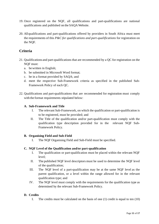- 19. Once registered on the NQF, all qualifications and part-qualifications are national qualifications and published on the SAQA Website.
- 20. Allqualifications and part-qualifications offered by providers in South Africa must meet the requirements of this *P&C for qualifications and part-qualifications* for registration on the NQF.

# **Criteria**

- 21. Qualifications and part-qualifications that are recommended by a QC for registration on the NQF must:
	- a. bewritten in English;
	- b. be submitted in Microsoft Word format;
	- c. be in a format provided by SAQA; and
	- d. meet the respective Sub-Framework criteria as specified in the published Sub-Framework Policy of each QC.
- 22. Qualifications and part-qualifications that are recommended for registration must comply with the format requirements stipulated below:

#### **A. Sub-Framework and Title**

- I. The relevant Sub-Framework, on which the qualification or part-qualification is to be registered, must be provided; and
- II. The Title of the qualification and/or part-qualification must comply with the qualification type description provided for in the relevant NQF Sub-Framework Policy.

#### **B. Organising Field and Sub-Field**

I. The NQF Organising Field and Sub-Field must be specified.

#### **C. NQF Level of the Qualification and/or part-qualification**

- I. The qualification or part-qualification must be placed within the relevant NQF level;
- II. The published NQF level descriptors must be used to determine the NQF level of the qualification;
- III. The NQF level of a part-qualification may be at the same NQF level as the parent qualification, or a level within the range allowed for in the relevant qualification type; and
- IV. The NQF level must comply with the requirements for the qualification type as determined by the relevant Sub-Framework Policy.

#### **D. Credits**

I. The credits must be calculated on the basis of one (1) credit is equal to ten (10)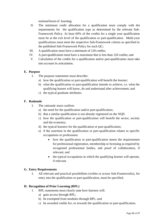notional hours of learning;

- II. The minimum credit allocation for a qualification must comply with the requirements for the qualification type as determined by the relevant Sub-Framework Policy. At least 60% of the credits for a single year qualification must be at the exit level of the qualification or part-qualification. Multi-year qualifications must meet the respective Sub-Framework criteria as specified in the published Sub-Framework Policy for each QC;
- III. A qualification must have a minimum of 120 credits;
- IV. A part-qualification must have a maximum that is less than 120 credits; and
- V. Calculation of the credits for a qualification and/or part-qualification must take into account its articulation.

#### **E. Purpose**

- I. The purpose statements must describe:
	- a) how the qualification or part-qualification will benefit the learner;
	- b) what the qualification or part-qualification intends to achieve, i.e. what the qualifying learner will know, do and understand after achievement; and
	- c) the typical graduate attributes.

#### **F. Rationale**

- I. The rationale must confirm:
	- a) the need for the qualification and/or part-qualification;
	- b) that a similar qualification is not already registered on the NQF;
	- c) how the qualification or part-qualification will benefit the sector, society and the economy;
	- d) the typical learners for the qualification or part-qualification;
	- e) if the assertion in the qualification or part-qualification relates to specific occupations or professions:
		- how the qualification or part-qualification meets the requirements for professional registration, membership or licensing as required by recognised professional bodies, and proof of collaboration, if relevant; and
		- the typical occupations in which the qualifying learner will operate, if relevant.

#### **G. Entry Requirements**

I. All relevant and practical possibilities (within or across Sub-Frameworks), for entry into the qualification or part-qualification, must be specified.

#### **H. Recognition of Prior Learning (RPL)**

- I. RPL statements must clearly state how learners will:
	- a) gain access through RPL;
	- b) be exempted from modules through RPL; and
	- c) be awarded credits for, or towards the qualification or part-qualification.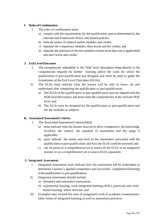#### **I. RulesofCombination**

- I. The rules of combination must:
	- a) comply with the requirements for the qualification type as determined by the relevant Sub-Framework Policy and related policies;
	- b) indicate names of subjects and/or modules and credits;
	- c) stipulate the compulsory modules, their levels and the credits; and
	- d) stipulate the selection of elective modules (where more than one is applicable) and their levels and credits.

#### **J. ExitLevelOutcomes**

- I. The competencies embedded in the NQF level descriptors relate directly to the competencies required for further learning and/or the work for which the qualification or part-qualification was designed and must be used to guide the formulation of the Exit Level Outcomes (ELOs);
- II. The ELOs must indicate what the learner will be able to know, do and understand after completing the qualification or part-qualification:
	- a) The ELOs of the qualification or part-qualification must be aligned with the NQF level descriptors and must meet the competencies of the relevant NQF level; and
	- b) The ELOs must be designed for the qualification or part-qualification and not the modules or subjects.

#### **K. AssociatedAssessmentCriteria**

- I. The Associated Assessment Criteria (AACs):
	- a) must indicate what the learner must do to show competence, the knowledge involved, the context, the standard of assessment and the range if applicable;
	- b) must indicate the nature and level of the assessment associated with the qualification or part-qualification and how the ELOs could be assessed; and
	- c) can be given as a comprehensive set to assess all the ELOs in an integrated manner or as a comprehensive set to assess ELOs separately.

#### **L. Integrated Assessment**

- I. Integrated assessment must indicate how the assessment will be undertaken to determine a learner's applied competence and successful completionoflearning in the qualification or part-qualification;
- II. Integrated assessment should include:
	- a) formative and summative assessment;
	- b) experiential learning, work integrated learning (WIL), practicals and workbased learning, where relevant; and
- III. Examples may include the ratio of assignment work to academic examinations, other forms of integrated learning as well as assessment practices.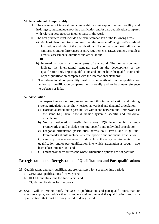#### **M. International Comparability**

- I. The statement of international comparability must support learner mobility, and in doing so, must include how the qualification and/or part-qualification compares with relevant best practices in other parts of the world;
- II. The best practices must include a relevant comparison of the following areas:
	- a) At least two countries, as well as the registered/recognised/accredited institutions and titles of the qualifications: The comparison must indicate the similarities and/or differences in entry requirements; ELOs/ content/ modules; credits; assessments; duration; and articulation;

#### **OR**

- b) International standards in other parts of the world: The comparison must indicate the international standard used in the development of the qualification and / or part-qualification and outline how the qualification and/ or part-qualification compares with the international standard;
- III. The international comparability must provide details of how the qualification and/or part-qualification compares internationally, and not be a mere reference to websites or links.

#### **N. Articulation**

- I. To deepen integration, progression and mobility in the education and training system, articulation must show horizontal, vertical and diagonal articulation:
	- a) Horizontal articulation possibilities within and between Sub-Frameworks at the same NQF level should include systemic, specific and individual articulation;
	- b) Vertical articulation possibilities across NQF levels within a Sub-Framework should include systemic, specific and individual articulation;
	- c) Diagonal articulation possibilities across NQF levels and NQF Sub-Frameworks should include systemic, specific and individual articulation;
- II. QCs must provide a statement to show how the entry requirements of the qualification and/or part-qualification into which articulation is sought have been taken into account; and
- III. QCs must provide valid reasons where articulation options are not possible.

#### <span id="page-13-0"></span>**Re-registration and Deregistration of Qualifications and Part-qualifications**

- 23. Qualifications and part-qualifications are registered for a specific time period:
	- a. GFETQSF qualifications for five years;
	- b. HEQSF qualifications for three years; and
	- c. OQSF qualifications for five years.
- 24. SAQA will, in writing, notify the QCs of qualifications and part-qualifications that are about to expire, and advise them to review and recommend the qualifications and partqualifications that must be re-registered or deregistered.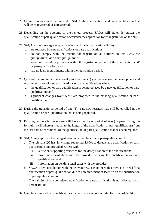- 25. QCsmust review, and recommend to SAQA, the qualifications and part-qualifications that will be re-registered or deregistered.
- 26. Depending on the outcome of the review process, SAQA will either de-register the qualification or part-qualification or consider the application for re-registration on the NQF.
- 27. SAQA will not re-register qualifications and part-qualifications if they:
	- a. are replaced by new qualifications or part-qualifications;
	- b. do not comply with the criteria for registration as outlined in this *P&C for qualifications and part-qualifications*;
	- c. were not offered by providers within the registration period of the qualification and/ or part-qualification; and
	- d. had no learner enrolments within the registration period.
- 28. QCs will be granted a transitional period of one (1) year to oversee the development and recommendation of new qualifications or part-qualifications when:
	- a. the qualification or part-qualification is being replaced by a new qualification or partqualification; and
	- b. significant changes (over 50%) are proposed to the existing qualification or partqualification.
- 29. During the transitional period of one (1) year, new learners may still be enrolled in the qualification or part-qualification that is being replaced.
- 30. Existing learners in the system will have a teach-out period of two (2) years (using the formula [n+2] where n is equal to the length of the qualification or part-qualification) from the last date of enrollment of the qualification or part-qualification that has been replaced.
- 31. SAQA may approve the deregistration of a qualification or part-qualification if:
	- a. The relevant QC has, in writing, requested SAQA to deregister a qualification or partqualification and provided SAQA with:
		- i. sufficient supporting evidence for the deregistration of the qualification;
		- ii. proof of consultation with the provider offering the qualification or partqualification; and
		- iii. Information on pending legal cases with the provider.
	- b. SAQA, after consultation with the relevant QC, is convinced that there is no need for a qualification or part-qualification due to non-enrolment of learners on the qualification or part-qualification; or
	- c. The validity of any completed qualification or part-qualification is not affected by its deregistration.
- 32. Qualifications and part-qualifications that are no longer offered still form part of the NQF.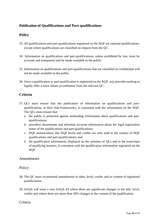# <span id="page-15-0"></span>**Publication of Qualifications and Part-qualifications**

# **Policy**

- 33. All qualifications and part-qualifications registered on the NQF are national qualifications, except where qualifications are classified on request from the QC.
- 34. Information on qualifications and part-qualifications, unless prohibited by law, must be accurate and transparent and be made available to the public.
- 35. Information on qualifications and part-qualifications that are classified as confidential will not be made available to the public.
- 36. Once a qualification or part-qualification is registered on the NQF, any provider seeking to legally offer it must obtain accreditation from the relevant QC.

# **Criteria**

- 37. QCs must ensure that the publication of information on qualifications and partqualifications, in their Sub-Frameworks, is consistent with the information on the NQF. The QCs must ensure that:
	- a. the public is protected against misleading information about qualifications and partqualifications;
	- b. providers disseminate and advertise accurate information about the legal registration status of the qualifications and part-qualifications;
	- c. NQF nomenclature like NQF levels and credits are only used in the context of NQF qualifications and part-qualifications; and
	- d. the qualification information, displayed on the websites of QCs and in the transcripts of qualifying learners, is consistent with the qualification information registered on the NQF.

#### Amendments

# **Policy**

- 38. The QC must recommend amendments to titles, level, credits and or content of registered qualifications.
- 39. SAQA will issue a new SAQA ID where there are significant changes to the title, level, credits and where there are more than 50% changes in the content of the qualification.

# Criteria